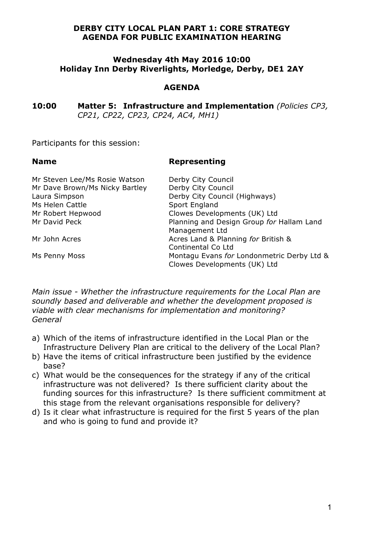#### **DERBY CITY LOCAL PLAN PART 1: CORE STRATEGY AGENDA FOR PUBLIC EXAMINATION HEARING**

#### **Wednesday 4th May 2016 10:00 Holiday Inn Derby Riverlights, Morledge, Derby, DE1 2AY**

### **AGENDA**

**10:00 Matter 5: Infrastructure and Implementation** *(Policies CP3, CP21, CP22, CP23, CP24, AC4, MH1)*

Participants for this session:

#### **Name Representing**

| Mr Steven Lee/Ms Rosie Watson  | Derby City Council                                                         |
|--------------------------------|----------------------------------------------------------------------------|
| Mr Dave Brown/Ms Nicky Bartley | Derby City Council                                                         |
| Laura Simpson                  | Derby City Council (Highways)                                              |
| Ms Helen Cattle                | Sport England                                                              |
| Mr Robert Hepwood              | Clowes Developments (UK) Ltd                                               |
| Mr David Peck                  | Planning and Design Group for Hallam Land<br>Management Ltd                |
| Mr John Acres                  | Acres Land & Planning for British &<br>Continental Co Ltd                  |
| Ms Penny Moss                  | Montagu Evans for Londonmetric Derby Ltd &<br>Clowes Developments (UK) Ltd |

*Main issue - Whether the infrastructure requirements for the Local Plan are soundly based and deliverable and whether the development proposed is viable with clear mechanisms for implementation and monitoring? General*

- a) Which of the items of infrastructure identified in the Local Plan or the Infrastructure Delivery Plan are critical to the delivery of the Local Plan?
- b) Have the items of critical infrastructure been justified by the evidence base?
- c) What would be the consequences for the strategy if any of the critical infrastructure was not delivered? Is there sufficient clarity about the funding sources for this infrastructure? Is there sufficient commitment at this stage from the relevant organisations responsible for delivery?
- d) Is it clear what infrastructure is required for the first 5 years of the plan and who is going to fund and provide it?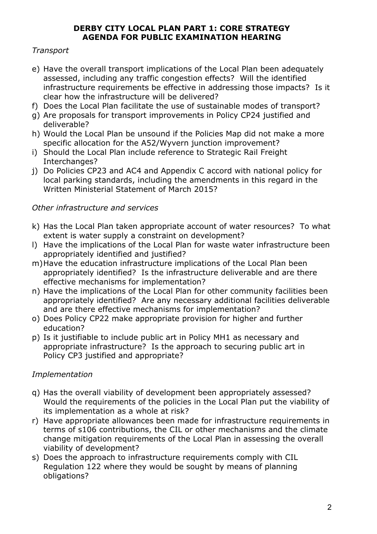# **DERBY CITY LOCAL PLAN PART 1: CORE STRATEGY AGENDA FOR PUBLIC EXAMINATION HEARING**

# *Transport*

- e) Have the overall transport implications of the Local Plan been adequately assessed, including any traffic congestion effects? Will the identified infrastructure requirements be effective in addressing those impacts? Is it clear how the infrastructure will be delivered?
- f) Does the Local Plan facilitate the use of sustainable modes of transport?
- g) Are proposals for transport improvements in Policy CP24 justified and deliverable?
- h) Would the Local Plan be unsound if the Policies Map did not make a more specific allocation for the A52/Wyvern junction improvement?
- i) Should the Local Plan include reference to Strategic Rail Freight Interchanges?
- j) Do Policies CP23 and AC4 and Appendix C accord with national policy for local parking standards, including the amendments in this regard in the Written Ministerial Statement of March 2015?

# *Other infrastructure and services*

- k) Has the Local Plan taken appropriate account of water resources? To what extent is water supply a constraint on development?
- l) Have the implications of the Local Plan for waste water infrastructure been appropriately identified and justified?
- m)Have the education infrastructure implications of the Local Plan been appropriately identified? Is the infrastructure deliverable and are there effective mechanisms for implementation?
- n) Have the implications of the Local Plan for other community facilities been appropriately identified? Are any necessary additional facilities deliverable and are there effective mechanisms for implementation?
- o) Does Policy CP22 make appropriate provision for higher and further education?
- p) Is it justifiable to include public art in Policy MH1 as necessary and appropriate infrastructure? Is the approach to securing public art in Policy CP3 justified and appropriate?

# *Implementation*

- q) Has the overall viability of development been appropriately assessed? Would the requirements of the policies in the Local Plan put the viability of its implementation as a whole at risk?
- r) Have appropriate allowances been made for infrastructure requirements in terms of s106 contributions, the CIL or other mechanisms and the climate change mitigation requirements of the Local Plan in assessing the overall viability of development?
- s) Does the approach to infrastructure requirements comply with CIL Regulation 122 where they would be sought by means of planning obligations?